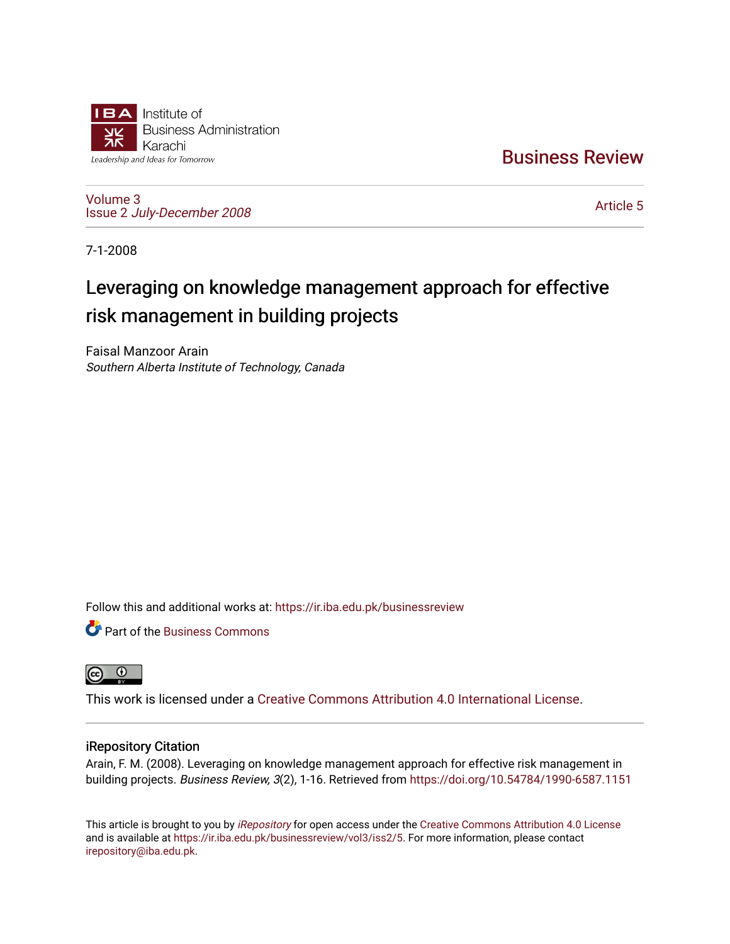

[Business Review](https://ir.iba.edu.pk/businessreview) 

[Volume 3](https://ir.iba.edu.pk/businessreview/vol3) Issue 2 [July-December 2008](https://ir.iba.edu.pk/businessreview/vol3/iss2)

[Article 5](https://ir.iba.edu.pk/businessreview/vol3/iss2/5) 

7-1-2008

# Leveraging on knowledge management approach for effective risk management in building projects

Faisal Manzoor Arain Southern Alberta Institute of Technology, Canada

Follow this and additional works at: [https://ir.iba.edu.pk/businessreview](https://ir.iba.edu.pk/businessreview?utm_source=ir.iba.edu.pk%2Fbusinessreview%2Fvol3%2Fiss2%2F5&utm_medium=PDF&utm_campaign=PDFCoverPages) 

**P** Part of the [Business Commons](http://network.bepress.com/hgg/discipline/622?utm_source=ir.iba.edu.pk%2Fbusinessreview%2Fvol3%2Fiss2%2F5&utm_medium=PDF&utm_campaign=PDFCoverPages)



This work is licensed under a [Creative Commons Attribution 4.0 International License](https://creativecommons.org/licenses/by/4.0/).

### iRepository Citation

Arain, F. M. (2008). Leveraging on knowledge management approach for effective risk management in building projects. Business Review, 3(2), 1-16. Retrieved from <https://doi.org/10.54784/1990-6587.1151>

This article is brought to you by [iRepository](https://ir.iba.edu.pk/) for open access under the Creative Commons Attribution 4.0 License and is available at [https://ir.iba.edu.pk/businessreview/vol3/iss2/5.](https://ir.iba.edu.pk/businessreview/vol3/iss2/5) For more information, please contact [irepository@iba.edu.pk.](mailto:irepository@iba.edu.pk)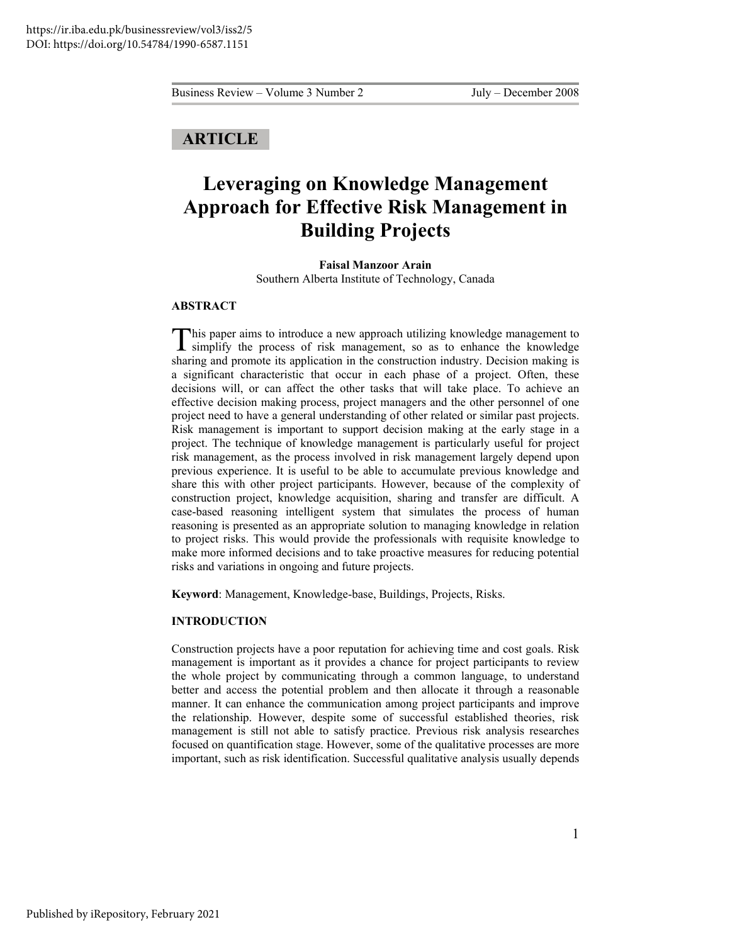## **ARTICLE**

## **Leveraging on Knowledge Management Approach for Effective Risk Management in Building Projects**

**Faisal Manzoor Arain**  Southern Alberta Institute of Technology, Canada

#### **ABSTRACT**

his paper aims to introduce a new approach utilizing knowledge management to This paper aims to introduce a new approach utilizing knowledge management to simplify the process of risk management, so as to enhance the knowledge sharing and promote its application in the construction industry. Decision making is a significant characteristic that occur in each phase of a project. Often, these decisions will, or can affect the other tasks that will take place. To achieve an effective decision making process, project managers and the other personnel of one project need to have a general understanding of other related or similar past projects. Risk management is important to support decision making at the early stage in a project. The technique of knowledge management is particularly useful for project risk management, as the process involved in risk management largely depend upon previous experience. It is useful to be able to accumulate previous knowledge and share this with other project participants. However, because of the complexity of construction project, knowledge acquisition, sharing and transfer are difficult. A case-based reasoning intelligent system that simulates the process of human reasoning is presented as an appropriate solution to managing knowledge in relation to project risks. This would provide the professionals with requisite knowledge to make more informed decisions and to take proactive measures for reducing potential risks and variations in ongoing and future projects.

**Keyword**: Management, Knowledge-base, Buildings, Projects, Risks.

#### **INTRODUCTION**

Construction projects have a poor reputation for achieving time and cost goals. Risk management is important as it provides a chance for project participants to review the whole project by communicating through a common language, to understand better and access the potential problem and then allocate it through a reasonable manner. It can enhance the communication among project participants and improve the relationship. However, despite some of successful established theories, risk management is still not able to satisfy practice. Previous risk analysis researches focused on quantification stage. However, some of the qualitative processes are more important, such as risk identification. Successful qualitative analysis usually depends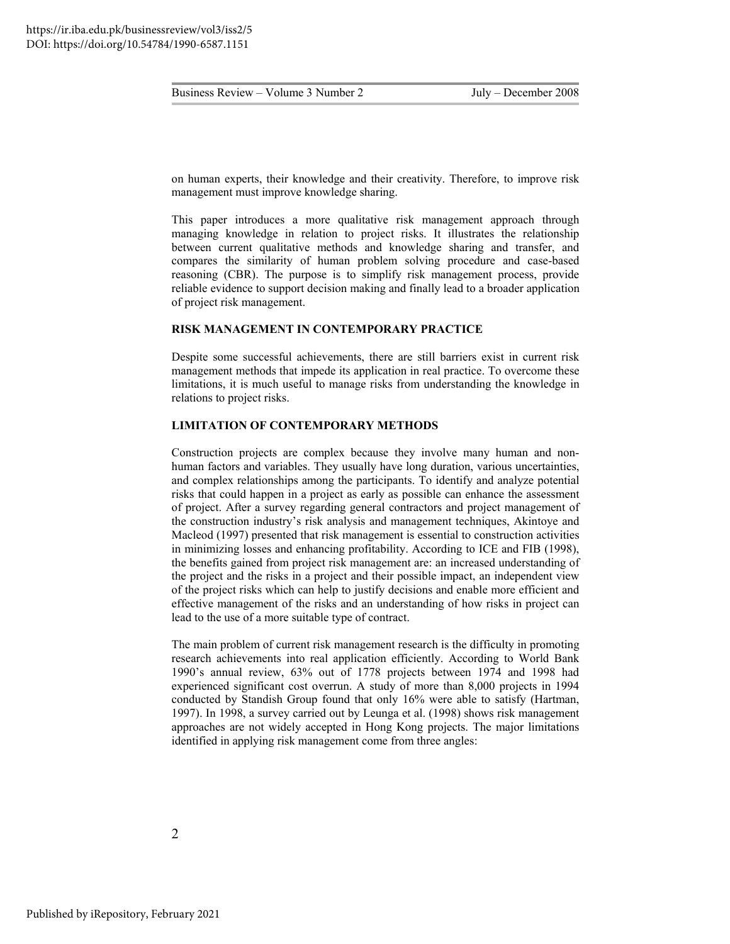on human experts, their knowledge and their creativity. Therefore, to improve risk management must improve knowledge sharing.

This paper introduces a more qualitative risk management approach through managing knowledge in relation to project risks. It illustrates the relationship between current qualitative methods and knowledge sharing and transfer, and compares the similarity of human problem solving procedure and case-based reasoning (CBR). The purpose is to simplify risk management process, provide reliable evidence to support decision making and finally lead to a broader application of project risk management.

#### **RISK MANAGEMENT IN CONTEMPORARY PRACTICE**

Despite some successful achievements, there are still barriers exist in current risk management methods that impede its application in real practice. To overcome these limitations, it is much useful to manage risks from understanding the knowledge in relations to project risks.

#### **LIMITATION OF CONTEMPORARY METHODS**

Construction projects are complex because they involve many human and nonhuman factors and variables. They usually have long duration, various uncertainties, and complex relationships among the participants. To identify and analyze potential risks that could happen in a project as early as possible can enhance the assessment of project. After a survey regarding general contractors and project management of the construction industry's risk analysis and management techniques, Akintoye and Macleod (1997) presented that risk management is essential to construction activities in minimizing losses and enhancing profitability. According to ICE and FIB (1998), the benefits gained from project risk management are: an increased understanding of the project and the risks in a project and their possible impact, an independent view of the project risks which can help to justify decisions and enable more efficient and effective management of the risks and an understanding of how risks in project can lead to the use of a more suitable type of contract.

The main problem of current risk management research is the difficulty in promoting research achievements into real application efficiently. According to World Bank 1990's annual review, 63% out of 1778 projects between 1974 and 1998 had experienced significant cost overrun. A study of more than 8,000 projects in 1994 conducted by Standish Group found that only 16% were able to satisfy (Hartman, 1997). In 1998, a survey carried out by Leunga et al. (1998) shows risk management approaches are not widely accepted in Hong Kong projects. The major limitations identified in applying risk management come from three angles: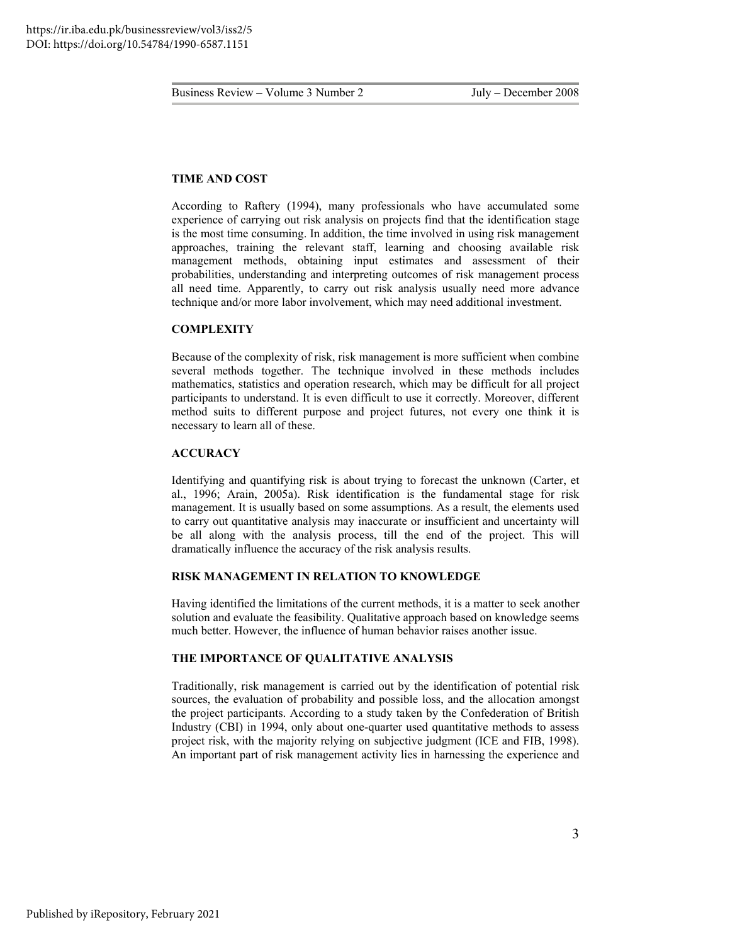#### **TIME AND COST**

According to Raftery (1994), many professionals who have accumulated some experience of carrying out risk analysis on projects find that the identification stage is the most time consuming. In addition, the time involved in using risk management approaches, training the relevant staff, learning and choosing available risk management methods, obtaining input estimates and assessment of their probabilities, understanding and interpreting outcomes of risk management process all need time. Apparently, to carry out risk analysis usually need more advance technique and/or more labor involvement, which may need additional investment.

#### **COMPLEXITY**

Because of the complexity of risk, risk management is more sufficient when combine several methods together. The technique involved in these methods includes mathematics, statistics and operation research, which may be difficult for all project participants to understand. It is even difficult to use it correctly. Moreover, different method suits to different purpose and project futures, not every one think it is necessary to learn all of these.

#### **ACCURACY**

Identifying and quantifying risk is about trying to forecast the unknown (Carter, et al., 1996; Arain, 2005a). Risk identification is the fundamental stage for risk management. It is usually based on some assumptions. As a result, the elements used to carry out quantitative analysis may inaccurate or insufficient and uncertainty will be all along with the analysis process, till the end of the project. This will dramatically influence the accuracy of the risk analysis results.

#### **RISK MANAGEMENT IN RELATION TO KNOWLEDGE**

Having identified the limitations of the current methods, it is a matter to seek another solution and evaluate the feasibility. Qualitative approach based on knowledge seems much better. However, the influence of human behavior raises another issue.

#### **THE IMPORTANCE OF QUALITATIVE ANALYSIS**

Traditionally, risk management is carried out by the identification of potential risk sources, the evaluation of probability and possible loss, and the allocation amongst the project participants. According to a study taken by the Confederation of British Industry (CBI) in 1994, only about one-quarter used quantitative methods to assess project risk, with the majority relying on subjective judgment (ICE and FIB, 1998). An important part of risk management activity lies in harnessing the experience and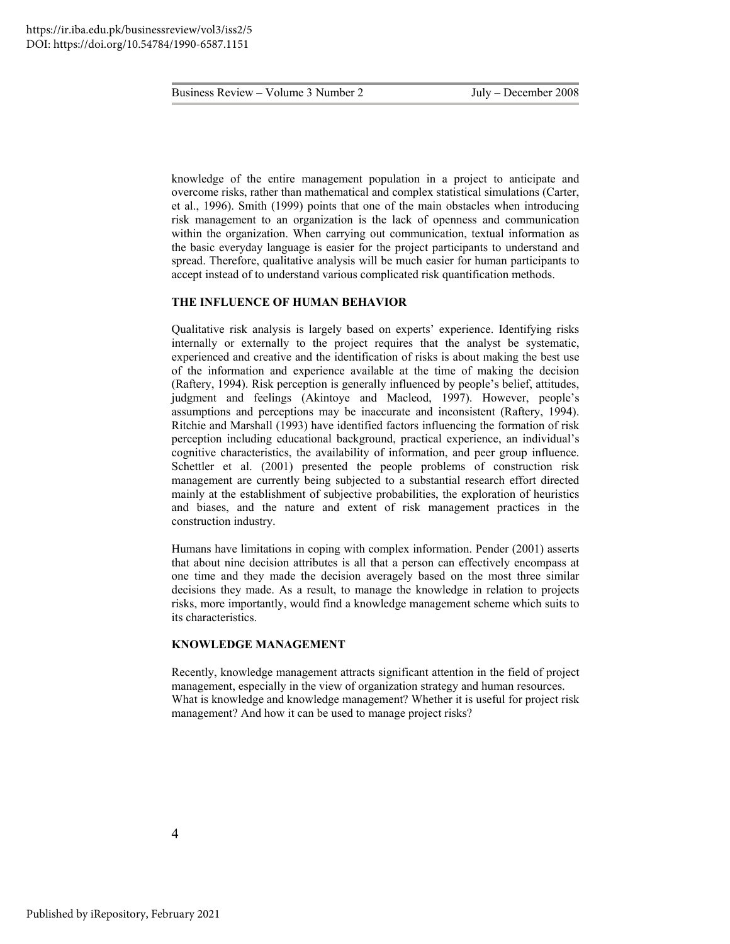knowledge of the entire management population in a project to anticipate and overcome risks, rather than mathematical and complex statistical simulations (Carter, et al., 1996). Smith (1999) points that one of the main obstacles when introducing risk management to an organization is the lack of openness and communication within the organization. When carrying out communication, textual information as the basic everyday language is easier for the project participants to understand and spread. Therefore, qualitative analysis will be much easier for human participants to accept instead of to understand various complicated risk quantification methods.

#### **THE INFLUENCE OF HUMAN BEHAVIOR**

Qualitative risk analysis is largely based on experts' experience. Identifying risks internally or externally to the project requires that the analyst be systematic, experienced and creative and the identification of risks is about making the best use of the information and experience available at the time of making the decision (Raftery, 1994). Risk perception is generally influenced by people's belief, attitudes, judgment and feelings (Akintoye and Macleod, 1997). However, people's assumptions and perceptions may be inaccurate and inconsistent (Raftery, 1994). Ritchie and Marshall (1993) have identified factors influencing the formation of risk perception including educational background, practical experience, an individual's cognitive characteristics, the availability of information, and peer group influence. Schettler et al. (2001) presented the people problems of construction risk management are currently being subjected to a substantial research effort directed mainly at the establishment of subjective probabilities, the exploration of heuristics and biases, and the nature and extent of risk management practices in the construction industry.

Humans have limitations in coping with complex information. Pender (2001) asserts that about nine decision attributes is all that a person can effectively encompass at one time and they made the decision averagely based on the most three similar decisions they made. As a result, to manage the knowledge in relation to projects risks, more importantly, would find a knowledge management scheme which suits to its characteristics.

#### **KNOWLEDGE MANAGEMENT**

Recently, knowledge management attracts significant attention in the field of project management, especially in the view of organization strategy and human resources. What is knowledge and knowledge management? Whether it is useful for project risk management? And how it can be used to manage project risks?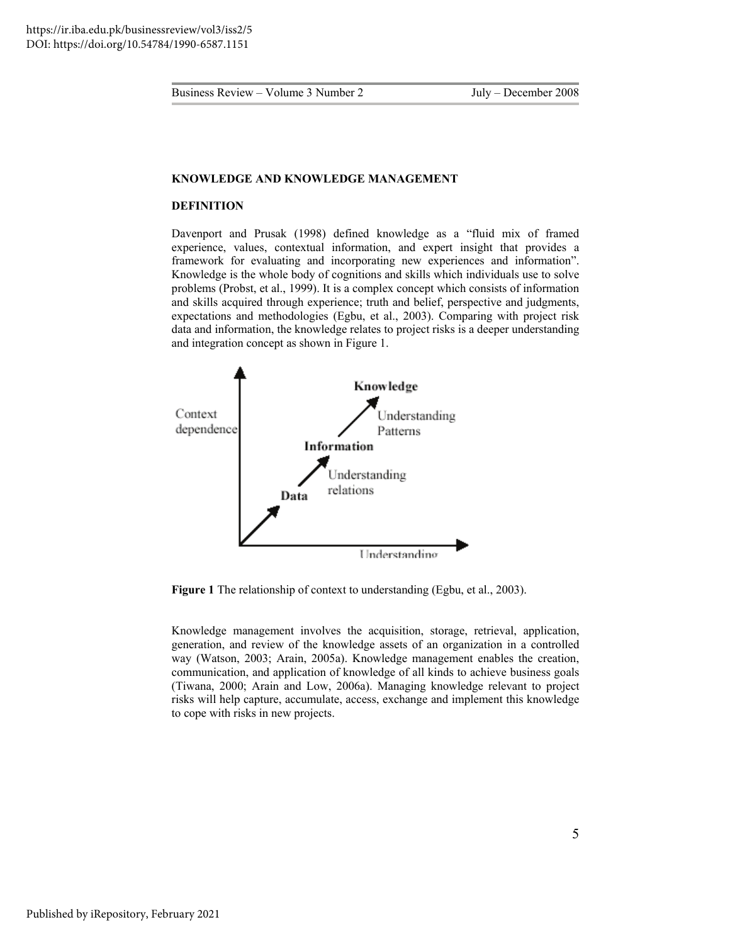#### **KNOWLEDGE AND KNOWLEDGE MANAGEMENT**

#### **DEFINITION**

Davenport and Prusak (1998) defined knowledge as a "fluid mix of framed experience, values, contextual information, and expert insight that provides a framework for evaluating and incorporating new experiences and information". Knowledge is the whole body of cognitions and skills which individuals use to solve problems (Probst, et al., 1999). It is a complex concept which consists of information and skills acquired through experience; truth and belief, perspective and judgments, expectations and methodologies (Egbu, et al., 2003). Comparing with project risk data and information, the knowledge relates to project risks is a deeper understanding and integration concept as shown in Figure 1.



**Figure 1** The relationship of context to understanding (Egbu, et al., 2003).

Knowledge management involves the acquisition, storage, retrieval, application, generation, and review of the knowledge assets of an organization in a controlled way (Watson, 2003; Arain, 2005a). Knowledge management enables the creation, communication, and application of knowledge of all kinds to achieve business goals (Tiwana, 2000; Arain and Low, 2006a). Managing knowledge relevant to project risks will help capture, accumulate, access, exchange and implement this knowledge to cope with risks in new projects.

5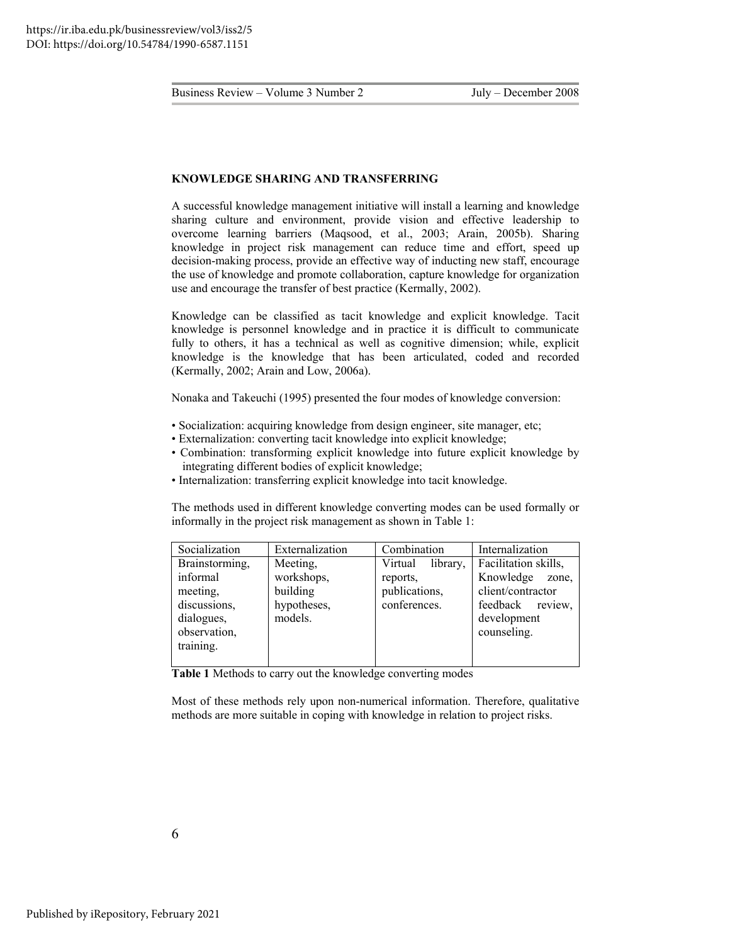#### **KNOWLEDGE SHARING AND TRANSFERRING**

A successful knowledge management initiative will install a learning and knowledge sharing culture and environment, provide vision and effective leadership to overcome learning barriers (Maqsood, et al., 2003; Arain, 2005b). Sharing knowledge in project risk management can reduce time and effort, speed up decision-making process, provide an effective way of inducting new staff, encourage the use of knowledge and promote collaboration, capture knowledge for organization use and encourage the transfer of best practice (Kermally, 2002).

Knowledge can be classified as tacit knowledge and explicit knowledge. Tacit knowledge is personnel knowledge and in practice it is difficult to communicate fully to others, it has a technical as well as cognitive dimension; while, explicit knowledge is the knowledge that has been articulated, coded and recorded (Kermally, 2002; Arain and Low, 2006a).

Nonaka and Takeuchi (1995) presented the four modes of knowledge conversion:

- Socialization: acquiring knowledge from design engineer, site manager, etc;
- Externalization: converting tacit knowledge into explicit knowledge;
- Combination: transforming explicit knowledge into future explicit knowledge by integrating different bodies of explicit knowledge;
- Internalization: transferring explicit knowledge into tacit knowledge.

The methods used in different knowledge converting modes can be used formally or informally in the project risk management as shown in Table 1:

| Socialization                                                                                     | Externalization                                              | Combination                                                      | Internalization                                                                                                      |
|---------------------------------------------------------------------------------------------------|--------------------------------------------------------------|------------------------------------------------------------------|----------------------------------------------------------------------------------------------------------------------|
| Brainstorming,<br>informal<br>meeting,<br>discussions,<br>dialogues,<br>observation,<br>training. | Meeting,<br>workshops,<br>building<br>hypotheses,<br>models. | Virtual<br>library,<br>reports,<br>publications,<br>conferences. | Facilitation skills,<br>Knowledge<br>zone,<br>client/contractor<br>feedback<br>review,<br>development<br>counseling. |

**Table 1** Methods to carry out the knowledge converting modes

Most of these methods rely upon non-numerical information. Therefore, qualitative methods are more suitable in coping with knowledge in relation to project risks.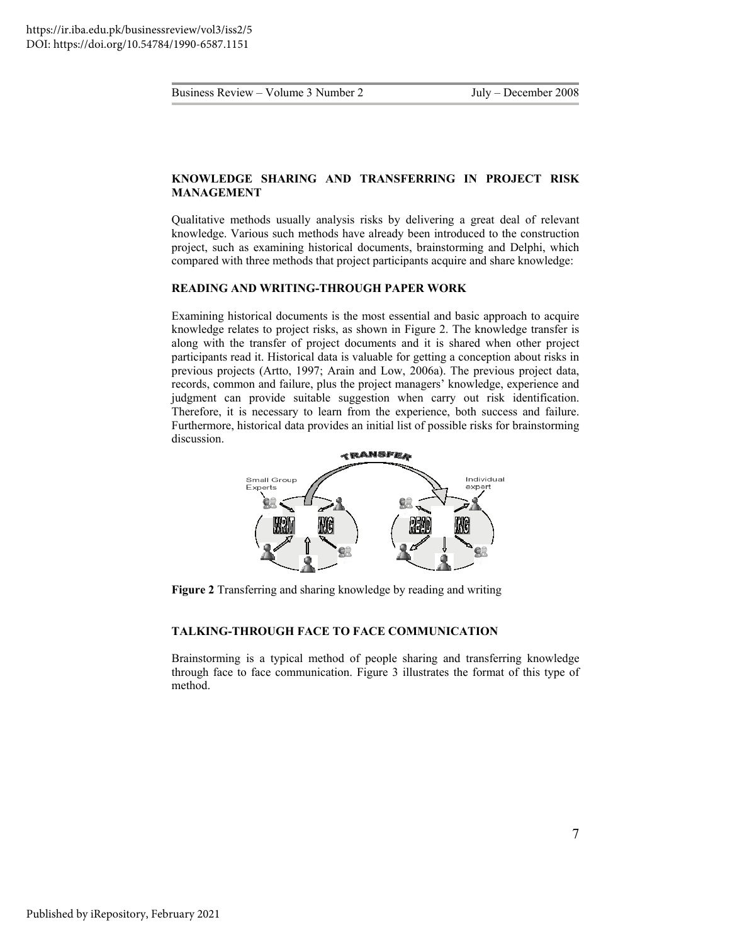#### **KNOWLEDGE SHARING AND TRANSFERRING IN PROJECT RISK MANAGEMENT**

Qualitative methods usually analysis risks by delivering a great deal of relevant knowledge. Various such methods have already been introduced to the construction project, such as examining historical documents, brainstorming and Delphi, which compared with three methods that project participants acquire and share knowledge:

#### **READING AND WRITING-THROUGH PAPER WORK**

Examining historical documents is the most essential and basic approach to acquire knowledge relates to project risks, as shown in Figure 2. The knowledge transfer is along with the transfer of project documents and it is shared when other project participants read it. Historical data is valuable for getting a conception about risks in previous projects (Artto, 1997; Arain and Low, 2006a). The previous project data, records, common and failure, plus the project managers' knowledge, experience and judgment can provide suitable suggestion when carry out risk identification. Therefore, it is necessary to learn from the experience, both success and failure. Furthermore, historical data provides an initial list of possible risks for brainstorming discussion.



**Figure 2** Transferring and sharing knowledge by reading and writing

#### **TALKING-THROUGH FACE TO FACE COMMUNICATION**

Brainstorming is a typical method of people sharing and transferring knowledge through face to face communication. Figure 3 illustrates the format of this type of method.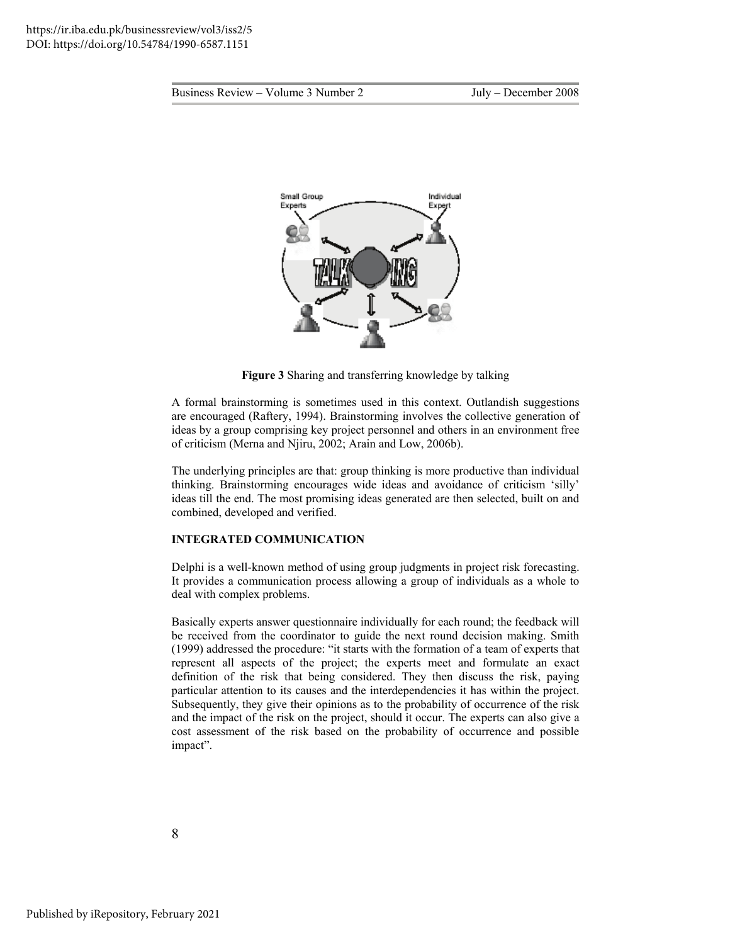

**Figure 3** Sharing and transferring knowledge by talking

A formal brainstorming is sometimes used in this context. Outlandish suggestions are encouraged (Raftery, 1994). Brainstorming involves the collective generation of ideas by a group comprising key project personnel and others in an environment free of criticism (Merna and Njiru, 2002; Arain and Low, 2006b).

The underlying principles are that: group thinking is more productive than individual thinking. Brainstorming encourages wide ideas and avoidance of criticism 'silly' ideas till the end. The most promising ideas generated are then selected, built on and combined, developed and verified.

#### **INTEGRATED COMMUNICATION**

Delphi is a well-known method of using group judgments in project risk forecasting. It provides a communication process allowing a group of individuals as a whole to deal with complex problems.

Basically experts answer questionnaire individually for each round; the feedback will be received from the coordinator to guide the next round decision making. Smith (1999) addressed the procedure: "it starts with the formation of a team of experts that represent all aspects of the project; the experts meet and formulate an exact definition of the risk that being considered. They then discuss the risk, paying particular attention to its causes and the interdependencies it has within the project. Subsequently, they give their opinions as to the probability of occurrence of the risk and the impact of the risk on the project, should it occur. The experts can also give a cost assessment of the risk based on the probability of occurrence and possible impact".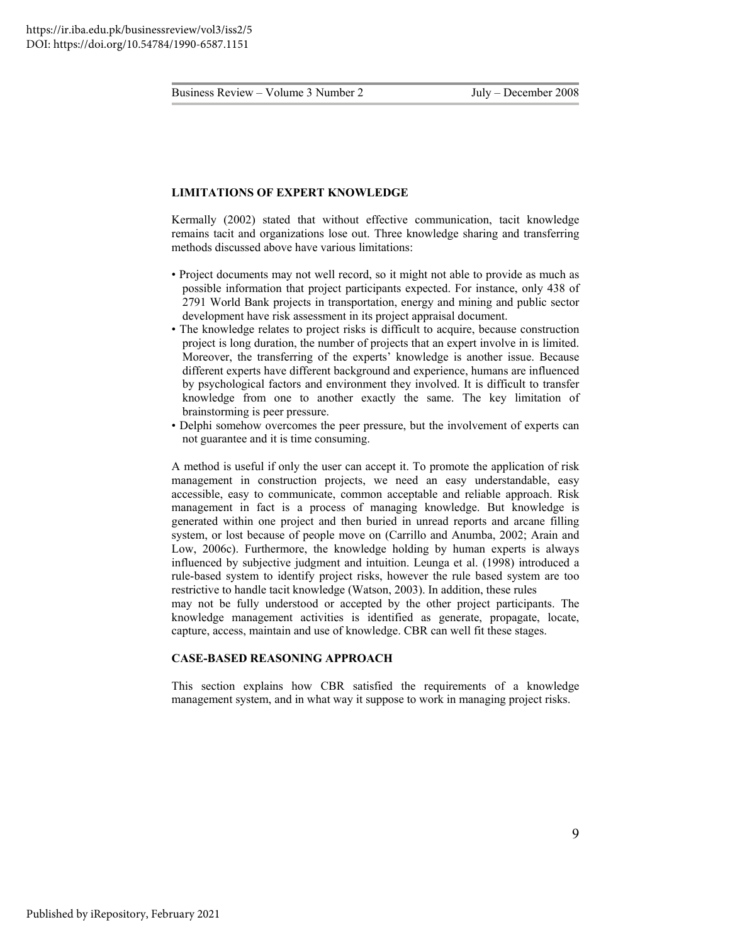#### **LIMITATIONS OF EXPERT KNOWLEDGE**

Kermally (2002) stated that without effective communication, tacit knowledge remains tacit and organizations lose out. Three knowledge sharing and transferring methods discussed above have various limitations:

- Project documents may not well record, so it might not able to provide as much as possible information that project participants expected. For instance, only 438 of 2791 World Bank projects in transportation, energy and mining and public sector development have risk assessment in its project appraisal document.
- The knowledge relates to project risks is difficult to acquire, because construction project is long duration, the number of projects that an expert involve in is limited. Moreover, the transferring of the experts' knowledge is another issue. Because different experts have different background and experience, humans are influenced by psychological factors and environment they involved. It is difficult to transfer knowledge from one to another exactly the same. The key limitation of brainstorming is peer pressure.
- Delphi somehow overcomes the peer pressure, but the involvement of experts can not guarantee and it is time consuming.

A method is useful if only the user can accept it. To promote the application of risk management in construction projects, we need an easy understandable, easy accessible, easy to communicate, common acceptable and reliable approach. Risk management in fact is a process of managing knowledge. But knowledge is generated within one project and then buried in unread reports and arcane filling system, or lost because of people move on (Carrillo and Anumba, 2002; Arain and Low, 2006c). Furthermore, the knowledge holding by human experts is always influenced by subjective judgment and intuition. Leunga et al. (1998) introduced a rule-based system to identify project risks, however the rule based system are too restrictive to handle tacit knowledge (Watson, 2003). In addition, these rules may not be fully understood or accepted by the other project participants. The

knowledge management activities is identified as generate, propagate, locate, capture, access, maintain and use of knowledge. CBR can well fit these stages.

#### **CASE-BASED REASONING APPROACH**

This section explains how CBR satisfied the requirements of a knowledge management system, and in what way it suppose to work in managing project risks.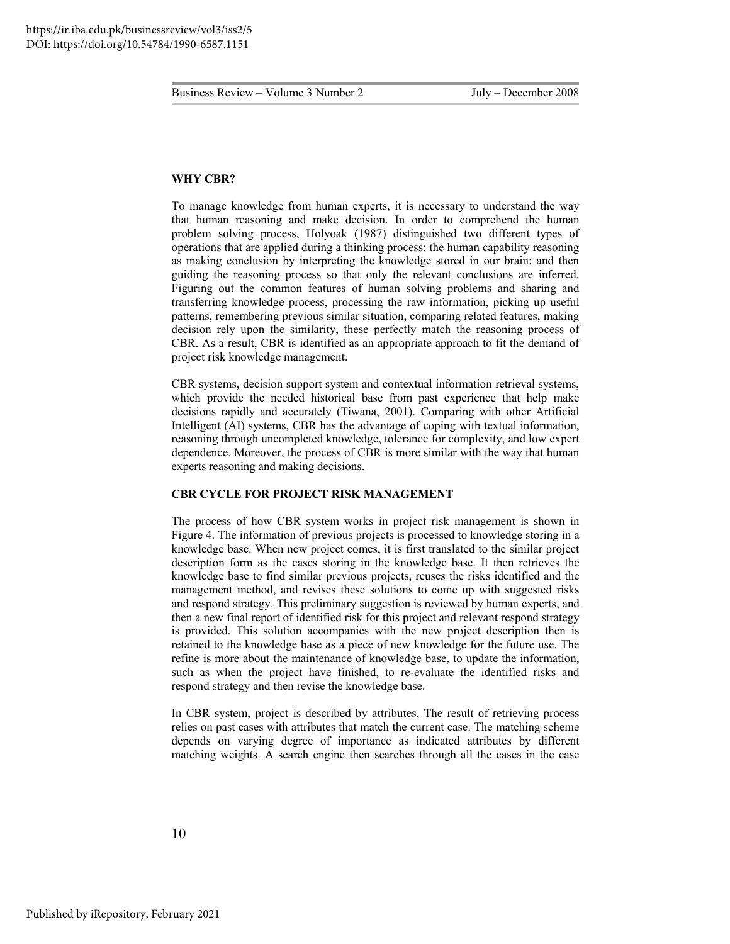#### **WHY CBR?**

To manage knowledge from human experts, it is necessary to understand the way that human reasoning and make decision. In order to comprehend the human problem solving process, Holyoak (1987) distinguished two different types of operations that are applied during a thinking process: the human capability reasoning as making conclusion by interpreting the knowledge stored in our brain; and then guiding the reasoning process so that only the relevant conclusions are inferred. Figuring out the common features of human solving problems and sharing and transferring knowledge process, processing the raw information, picking up useful patterns, remembering previous similar situation, comparing related features, making decision rely upon the similarity, these perfectly match the reasoning process of CBR. As a result, CBR is identified as an appropriate approach to fit the demand of project risk knowledge management.

CBR systems, decision support system and contextual information retrieval systems, which provide the needed historical base from past experience that help make decisions rapidly and accurately (Tiwana, 2001). Comparing with other Artificial Intelligent (AI) systems, CBR has the advantage of coping with textual information, reasoning through uncompleted knowledge, tolerance for complexity, and low expert dependence. Moreover, the process of CBR is more similar with the way that human experts reasoning and making decisions.

#### **CBR CYCLE FOR PROJECT RISK MANAGEMENT**

The process of how CBR system works in project risk management is shown in Figure 4. The information of previous projects is processed to knowledge storing in a knowledge base. When new project comes, it is first translated to the similar project description form as the cases storing in the knowledge base. It then retrieves the knowledge base to find similar previous projects, reuses the risks identified and the management method, and revises these solutions to come up with suggested risks and respond strategy. This preliminary suggestion is reviewed by human experts, and then a new final report of identified risk for this project and relevant respond strategy is provided. This solution accompanies with the new project description then is retained to the knowledge base as a piece of new knowledge for the future use. The refine is more about the maintenance of knowledge base, to update the information, such as when the project have finished, to re-evaluate the identified risks and respond strategy and then revise the knowledge base.

In CBR system, project is described by attributes. The result of retrieving process relies on past cases with attributes that match the current case. The matching scheme depends on varying degree of importance as indicated attributes by different matching weights. A search engine then searches through all the cases in the case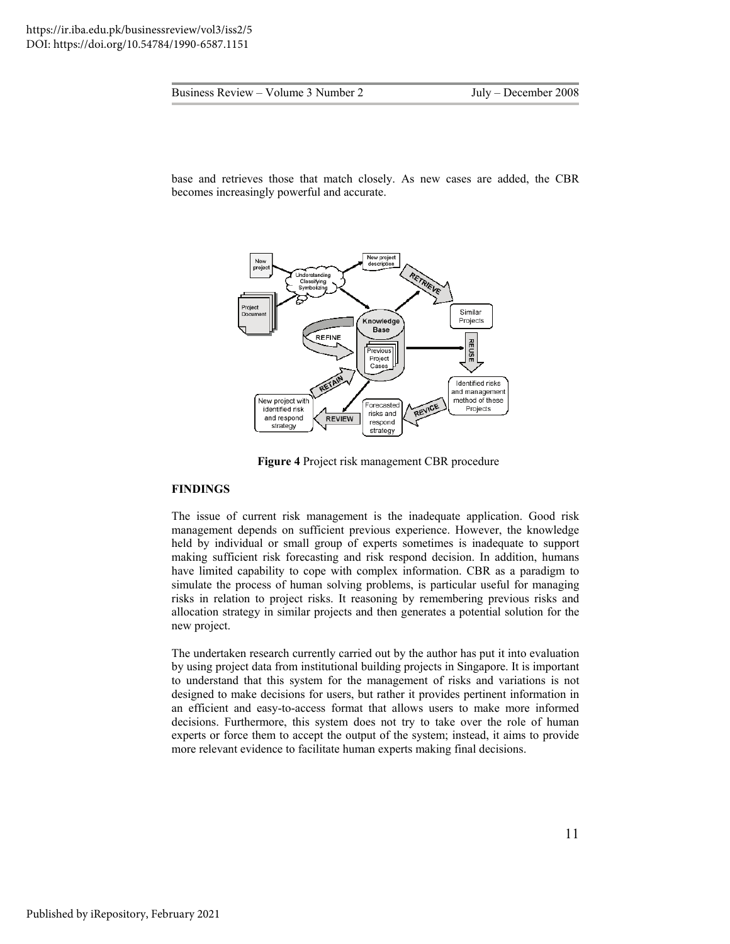base and retrieves those that match closely. As new cases are added, the CBR becomes increasingly powerful and accurate.



**Figure 4** Project risk management CBR procedure

#### **FINDINGS**

The issue of current risk management is the inadequate application. Good risk management depends on sufficient previous experience. However, the knowledge held by individual or small group of experts sometimes is inadequate to support making sufficient risk forecasting and risk respond decision. In addition, humans have limited capability to cope with complex information. CBR as a paradigm to simulate the process of human solving problems, is particular useful for managing risks in relation to project risks. It reasoning by remembering previous risks and allocation strategy in similar projects and then generates a potential solution for the new project.

The undertaken research currently carried out by the author has put it into evaluation by using project data from institutional building projects in Singapore. It is important to understand that this system for the management of risks and variations is not designed to make decisions for users, but rather it provides pertinent information in an efficient and easy-to-access format that allows users to make more informed decisions. Furthermore, this system does not try to take over the role of human experts or force them to accept the output of the system; instead, it aims to provide more relevant evidence to facilitate human experts making final decisions.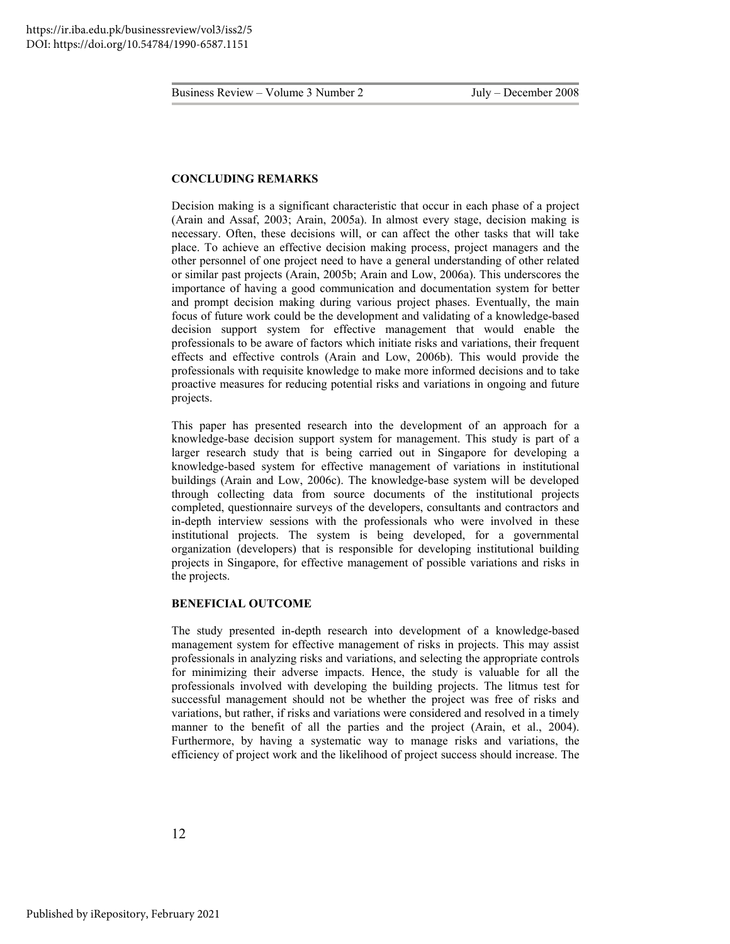#### **CONCLUDING REMARKS**

Decision making is a significant characteristic that occur in each phase of a project (Arain and Assaf, 2003; Arain, 2005a). In almost every stage, decision making is necessary. Often, these decisions will, or can affect the other tasks that will take place. To achieve an effective decision making process, project managers and the other personnel of one project need to have a general understanding of other related or similar past projects (Arain, 2005b; Arain and Low, 2006a). This underscores the importance of having a good communication and documentation system for better and prompt decision making during various project phases. Eventually, the main focus of future work could be the development and validating of a knowledge-based decision support system for effective management that would enable the professionals to be aware of factors which initiate risks and variations, their frequent effects and effective controls (Arain and Low, 2006b). This would provide the professionals with requisite knowledge to make more informed decisions and to take proactive measures for reducing potential risks and variations in ongoing and future projects.

This paper has presented research into the development of an approach for a knowledge-base decision support system for management. This study is part of a larger research study that is being carried out in Singapore for developing a knowledge-based system for effective management of variations in institutional buildings (Arain and Low, 2006c). The knowledge-base system will be developed through collecting data from source documents of the institutional projects completed, questionnaire surveys of the developers, consultants and contractors and in-depth interview sessions with the professionals who were involved in these institutional projects. The system is being developed, for a governmental organization (developers) that is responsible for developing institutional building projects in Singapore, for effective management of possible variations and risks in the projects.

#### **BENEFICIAL OUTCOME**

The study presented in-depth research into development of a knowledge-based management system for effective management of risks in projects. This may assist professionals in analyzing risks and variations, and selecting the appropriate controls for minimizing their adverse impacts. Hence, the study is valuable for all the professionals involved with developing the building projects. The litmus test for successful management should not be whether the project was free of risks and variations, but rather, if risks and variations were considered and resolved in a timely manner to the benefit of all the parties and the project (Arain, et al., 2004). Furthermore, by having a systematic way to manage risks and variations, the efficiency of project work and the likelihood of project success should increase. The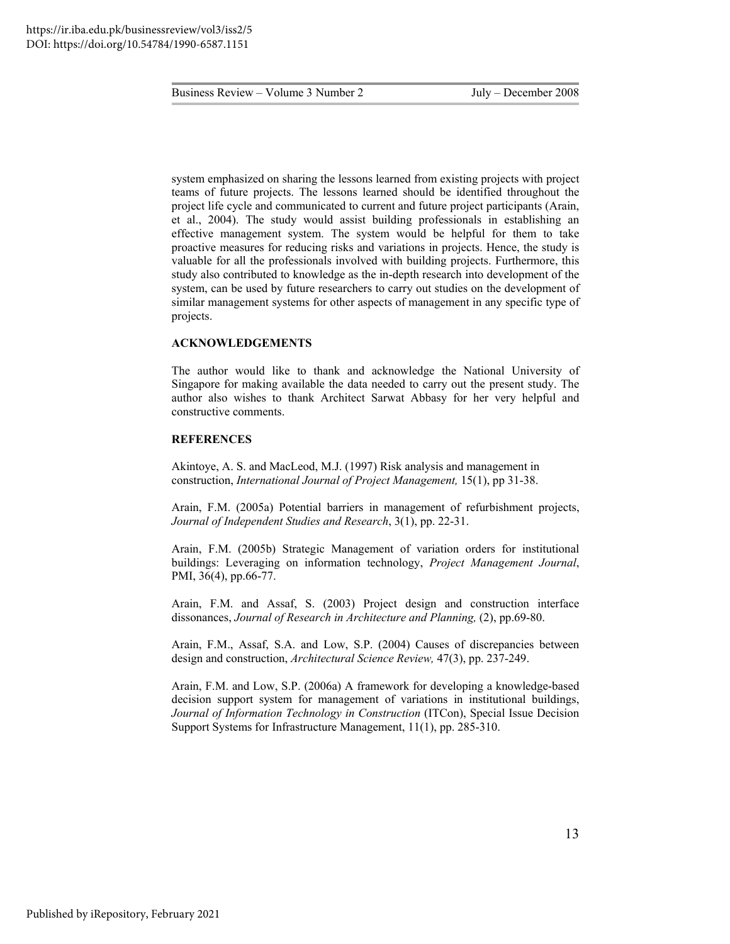system emphasized on sharing the lessons learned from existing projects with project teams of future projects. The lessons learned should be identified throughout the project life cycle and communicated to current and future project participants (Arain, et al., 2004). The study would assist building professionals in establishing an effective management system. The system would be helpful for them to take proactive measures for reducing risks and variations in projects. Hence, the study is valuable for all the professionals involved with building projects. Furthermore, this study also contributed to knowledge as the in-depth research into development of the system, can be used by future researchers to carry out studies on the development of similar management systems for other aspects of management in any specific type of projects.

#### **ACKNOWLEDGEMENTS**

The author would like to thank and acknowledge the National University of Singapore for making available the data needed to carry out the present study. The author also wishes to thank Architect Sarwat Abbasy for her very helpful and constructive comments.

#### **REFERENCES**

Akintoye, A. S. and MacLeod, M.J. (1997) Risk analysis and management in construction, *International Journal of Project Management,* 15(1), pp 31-38.

Arain, F.M. (2005a) Potential barriers in management of refurbishment projects, *Journal of Independent Studies and Research*, 3(1), pp. 22-31.

Arain, F.M. (2005b) Strategic Management of variation orders for institutional buildings: Leveraging on information technology, *Project Management Journal*, PMI, 36(4), pp.66-77.

Arain, F.M. and Assaf, S. (2003) Project design and construction interface dissonances, *Journal of Research in Architecture and Planning,* (2), pp.69-80.

Arain, F.M., Assaf, S.A. and Low, S.P. (2004) Causes of discrepancies between design and construction, *Architectural Science Review,* 47(3), pp. 237-249.

Arain, F.M. and Low, S.P. (2006a) A framework for developing a knowledge-based decision support system for management of variations in institutional buildings, *Journal of Information Technology in Construction* (ITCon), Special Issue Decision Support Systems for Infrastructure Management, 11(1), pp. 285-310.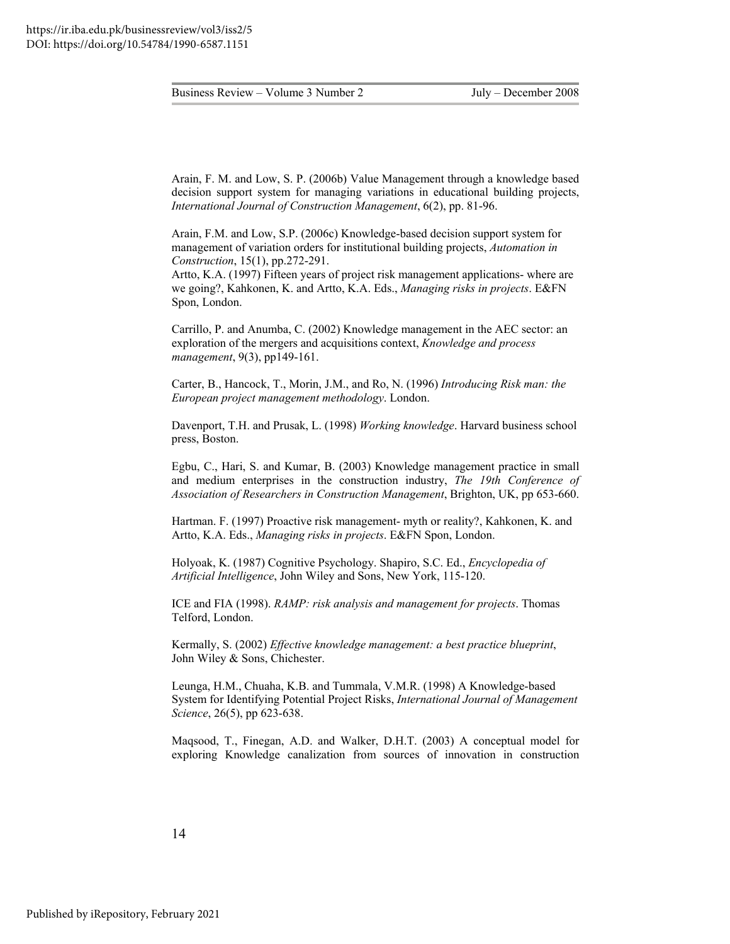Arain, F. M. and Low, S. P. (2006b) Value Management through a knowledge based decision support system for managing variations in educational building projects, *International Journal of Construction Management*, 6(2), pp. 81-96.

Arain, F.M. and Low, S.P. (2006c) Knowledge-based decision support system for management of variation orders for institutional building projects, *Automation in Construction*, 15(1), pp.272-291.

Artto, K.A. (1997) Fifteen years of project risk management applications- where are we going?, Kahkonen, K. and Artto, K.A. Eds., *Managing risks in projects*. E&FN Spon, London.

Carrillo, P. and Anumba, C. (2002) Knowledge management in the AEC sector: an exploration of the mergers and acquisitions context, *Knowledge and process management*, 9(3), pp149-161.

Carter, B., Hancock, T., Morin, J.M., and Ro, N. (1996) *Introducing Risk man: the European project management methodology*. London.

Davenport, T.H. and Prusak, L. (1998) *Working knowledge*. Harvard business school press, Boston.

Egbu, C., Hari, S. and Kumar, B. (2003) Knowledge management practice in small and medium enterprises in the construction industry, *The 19th Conference of Association of Researchers in Construction Management*, Brighton, UK, pp 653-660.

Hartman. F. (1997) Proactive risk management- myth or reality?, Kahkonen, K. and Artto, K.A. Eds., *Managing risks in projects*. E&FN Spon, London.

Holyoak, K. (1987) Cognitive Psychology. Shapiro, S.C. Ed., *Encyclopedia of Artificial Intelligence*, John Wiley and Sons, New York, 115-120.

ICE and FIA (1998). *RAMP: risk analysis and management for projects*. Thomas Telford, London.

Kermally, S. (2002) *Effective knowledge management: a best practice blueprint*, John Wiley & Sons, Chichester.

Leunga, H.M., Chuaha, K.B. and Tummala, V.M.R. (1998) A Knowledge-based System for Identifying Potential Project Risks, *International Journal of Management Science*, 26(5), pp 623-638.

Maqsood, T., Finegan, A.D. and Walker, D.H.T. (2003) A conceptual model for exploring Knowledge canalization from sources of innovation in construction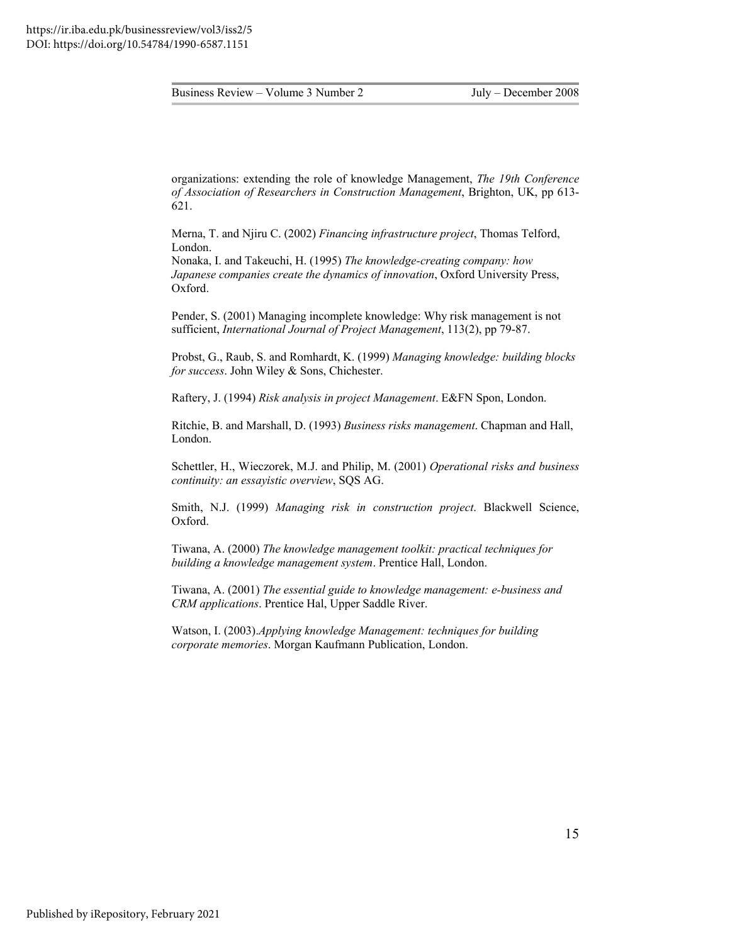organizations: extending the role of knowledge Management, *The 19th Conference of Association of Researchers in Construction Management*, Brighton, UK, pp 613- 621.

Merna, T. and Njiru C. (2002) *Financing infrastructure project*, Thomas Telford, London.

Nonaka, I. and Takeuchi, H. (1995) *The knowledge-creating company: how Japanese companies create the dynamics of innovation*, Oxford University Press, Oxford.

Pender, S. (2001) Managing incomplete knowledge: Why risk management is not sufficient, *International Journal of Project Management*, 113(2), pp 79-87.

Probst, G., Raub, S. and Romhardt, K. (1999) *Managing knowledge: building blocks for success*. John Wiley & Sons, Chichester.

Raftery, J. (1994) *Risk analysis in project Management*. E&FN Spon, London.

Ritchie, B. and Marshall, D. (1993) *Business risks management*. Chapman and Hall, London.

Schettler, H., Wieczorek, M.J. and Philip, M. (2001) *Operational risks and business continuity: an essayistic overview*, SQS AG.

Smith, N.J. (1999) *Managing risk in construction project*. Blackwell Science, Oxford.

Tiwana, A. (2000) *The knowledge management toolkit: practical techniques for building a knowledge management system*. Prentice Hall, London.

Tiwana, A. (2001) *The essential guide to knowledge management: e-business and CRM applications*. Prentice Hal, Upper Saddle River.

Watson, I. (2003).*Applying knowledge Management: techniques for building corporate memories*. Morgan Kaufmann Publication, London.